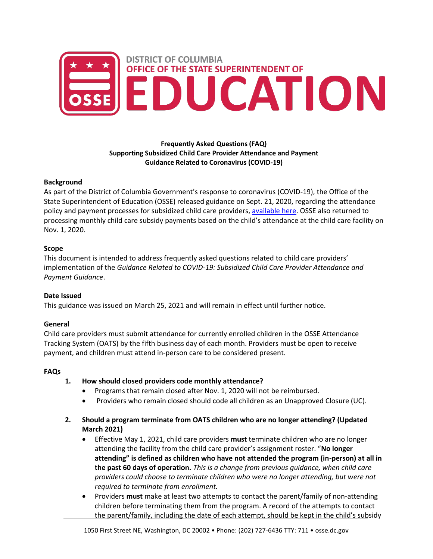

## **Frequently Asked Questions (FAQ) Supporting Subsidized Child Care Provider Attendance and Payment Guidance Related to Coronavirus (COVID-19)**

#### **Background**

As part of the District of Columbia Government's response to coronavirus (COVID-19), the Office of the State Superintendent of Education (OSSE) released guidance on Sept. 21, 2020, regarding the attendance policy and payment processes for subsidized child care providers[, available here.](https://osse.dc.gov/sites/default/files/dc/sites/osse/page_content/attachments/Child%20Care%20Subsidy%20Guidance%20Updated%20February%202022.pdf) OSSE also returned to processing monthly child care subsidy payments based on the child's attendance at the child care facility on Nov. 1, 2020.

#### **Scope**

This document is intended to address frequently asked questions related to child care providers' implementation of the *Guidance Related to COVID-19: Subsidized Child Care Provider Attendance and Payment Guidance*.

## **Date Issued**

This guidance was issued on March 25, 2021 and will remain in effect until further notice.

## **General**

Child care providers must submit attendance for currently enrolled children in the OSSE Attendance Tracking System (OATS) by the fifth business day of each month. Providers must be open to receive payment, and children must attend in-person care to be considered present.

#### **FAQs**

- **1. How should closed providers code monthly attendance?**
	- Programs that remain closed after Nov. 1, 2020 will not be reimbursed.
	- Providers who remain closed should code all children as an Unapproved Closure (UC).
- **2. Should a program terminate from OATS children who are no longer attending? (Updated March 2021)** 
	- Effective May 1, 2021, child care providers **must** terminate children who are no longer attending the facility from the child care provider's assignment roster. "**No longer attending" is defined as children who have not attended the program (in-person) at all in the past 60 days of operation.** *This is a change from previous guidance, when child care providers could choose to terminate children who were no longer attending, but were not required to terminate from enrollment.*
	- Providers **must** make at least two attempts to contact the parent/family of non-attending children before terminating them from the program. A record of the attempts to contact the parent/family, including the date of each attempt, should be kept in the child's subsidy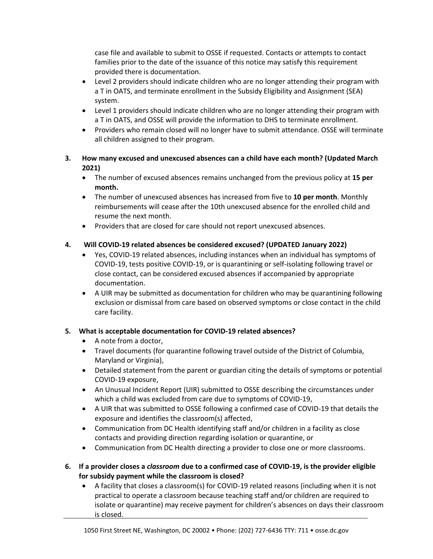case file and available to submit to OSSE if requested. Contacts or attempts to contact families prior to the date of the issuance of this notice may satisfy this requirement provided there is documentation.

- Level 2 providers should indicate children who are no longer attending their program with a T in OATS, and terminate enrollment in the Subsidy Eligibility and Assignment (SEA) system.
- Level 1 providers should indicate children who are no longer attending their program with a T in OATS, and OSSE will provide the information to DHS to terminate enrollment.
- Providers who remain closed will no longer have to submit attendance. OSSE will terminate all children assigned to their program.
- **3. How many excused and unexcused absences can a child have each month? (Updated March 2021)**
	- The number of excused absences remains unchanged from the previous policy at **15 per month.**
	- The number of unexcused absences has increased from five to **10 per month**. Monthly reimbursements will cease after the 10th unexcused absence for the enrolled child and resume the next month.
	- Providers that are closed for care should not report unexcused absences.

# **4. Will COVID-19 related absences be considered excused? (UPDATED January 2022)**

- Yes, COVID-19 related absences, including instances when an individual has symptoms of COVID-19, tests positive COVID-19, or is quarantining or self-isolating following travel or close contact, can be considered excused absences if accompanied by appropriate documentation.
- A UIR may be submitted as documentation for children who may be quarantining following exclusion or dismissal from care based on observed symptoms or close contact in the child care facility.

## **5. What is acceptable documentation for COVID-19 related absences?**

- A note from a doctor,
- Travel documents (for quarantine following travel outside of the District of Columbia, Maryland or Virginia),
- Detailed statement from the parent or guardian citing the details of symptoms or potential COVID-19 exposure,
- An Unusual Incident Report (UIR) submitted to OSSE describing the circumstances under which a child was excluded from care due to symptoms of COVID-19,
- A UIR that was submitted to OSSE following a confirmed case of COVID-19 that details the exposure and identifies the classroom(s) affected,
- Communication from DC Health identifying staff and/or children in a facility as close contacts and providing direction regarding isolation or quarantine, or
- Communication from DC Health directing a provider to close one or more classrooms.
- **6. If a provider closes a** *classroom* **due to a confirmed case of COVID-19, is the provider eligible for subsidy payment while the classroom is closed?** 
	- A facility that closes a classroom(s) for COVID-19 related reasons (including when it is not practical to operate a classroom because teaching staff and/or children are required to isolate or quarantine) may receive payment for children's absences on days their classroom is closed.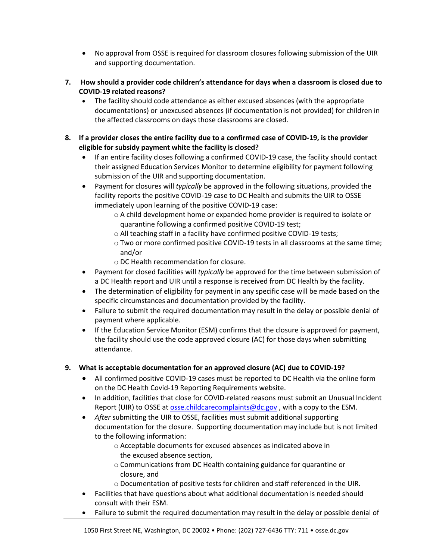- No approval from OSSE is required for classroom closures following submission of the UIR and supporting documentation.
- **7. How should a provider code children's attendance for days when a classroom is closed due to COVID-19 related reasons?**
	- The facility should code attendance as either excused absences (with the appropriate documentations) or unexcused absences (if documentation is not provided) for children in the affected classrooms on days those classrooms are closed.
- **8. If a provider closes the entire facility due to a confirmed case of COVID-19, is the provider eligible for subsidy payment white the facility is closed?**
	- If an entire facility closes following a confirmed COVID-19 case, the facility should contact their assigned Education Services Monitor to determine eligibility for payment following submission of the UIR and supporting documentation.
	- Payment for closures will *typically* be approved in the following situations, provided the facility reports the positive COVID-19 case to DC Health and submits the UIR to OSSE immediately upon learning of the positive COVID-19 case:
		- $\circ$  A child development home or expanded home provider is required to isolate or quarantine following a confirmed positive COVID-19 test;
		- o All teaching staff in a facility have confirmed positive COVID-19 tests;
		- o Two or more confirmed positive COVID-19 tests in all classrooms at the same time; and/or
		- o DC Health recommendation for closure.
	- Payment for closed facilities will *typically* be approved for the time between submission of a DC Health report and UIR until a response is received from DC Health by the facility.
	- The determination of eligibility for payment in any specific case will be made based on the specific circumstances and documentation provided by the facility.
	- Failure to submit the required documentation may result in the delay or possible denial of payment where applicable.
	- If the Education Service Monitor (ESM) confirms that the closure is approved for payment, the facility should use the code approved closure (AC) for those days when submitting attendance.
- **9. What is acceptable documentation for an approved closure (AC) due to COVID-19?**
	- All confirmed positive COVID-19 cases must be reported to DC Health via the online form on the DC Health Covid-19 Reporting Requirements website.
	- In addition, facilities that close for COVID-related reasons must submit an Unusual Incident Report (UIR) to OSSE a[t osse.childcarecomplaints@dc.gov](mailto:osse.childcarecomplaints@dc.gov), with a copy to the ESM.
	- *After* submitting the UIR to OSSE, facilities must submit additional supporting documentation for the closure. Supporting documentation may include but is not limited to the following information:
		- o Acceptable documents for excused absences as indicated above in the excused absence section,
		- o Communications from DC Health containing guidance for quarantine or closure, and
		- o Documentation of positive tests for children and staff referenced in the UIR.
	- Facilities that have questions about what additional documentation is needed should consult with their ESM.
	- Failure to submit the required documentation may result in the delay or possible denial of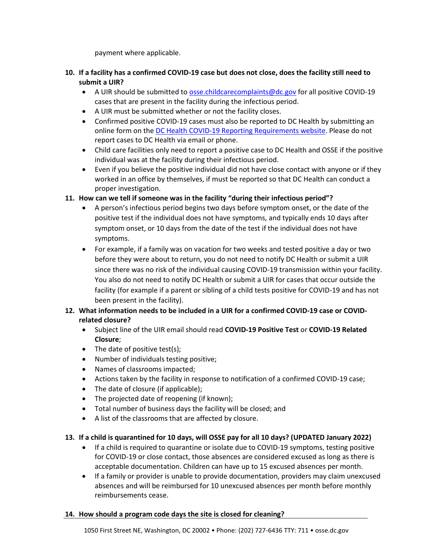payment where applicable.

- **10. If a facility has a confirmed COVID-19 case but does not close, does the facility still need to submit a UIR?**
	- A UIR should be submitted to **osse.childcarecomplaints@dc.gov** for all positive COVID-19 cases that are present in the facility during the infectious period.
	- A UIR must be submitted whether or not the facility closes.
	- Confirmed positive COVID-19 cases must also be reported to DC Health by submitting an online form on the [DC Health COVID-19 Reporting Requirements website.](https://dchealth.dc.gov/page/covid-19-reporting-requirements) Please do not report cases to DC Health via email or phone.
	- Child care facilities only need to report a positive case to DC Health and OSSE if the positive individual was at the facility during their infectious period.
	- Even if you believe the positive individual did not have close contact with anyone or if they worked in an office by themselves, if must be reported so that DC Health can conduct a proper investigation.

## **11. How can we tell if someone was in the facility "during their infectious period"?**

- A person's infectious period begins two days before symptom onset, or the date of the positive test if the individual does not have symptoms, and typically ends 10 days after symptom onset, or 10 days from the date of the test if the individual does not have symptoms.
- For example, if a family was on vacation for two weeks and tested positive a day or two before they were about to return, you do not need to notify DC Health or submit a UIR since there was no risk of the individual causing COVID-19 transmission within your facility. You also do not need to notify DC Health or submit a UIR for cases that occur outside the facility (for example if a parent or sibling of a child tests positive for COVID-19 and has not been present in the facility).

# **12. What information needs to be included in a UIR for a confirmed COVID-19 case or COVIDrelated closure?**

- Subject line of the UIR email should read **COVID-19 Positive Test** or **COVID-19 Related Closure**;
- The date of positive test(s);
- Number of individuals testing positive;
- Names of classrooms impacted;
- Actions taken by the facility in response to notification of a confirmed COVID-19 case;
- The date of closure (if applicable);
- The projected date of reopening (if known);
- Total number of business days the facility will be closed; and
- A list of the classrooms that are affected by closure.

## **13. If a child is quarantined for 10 days, will OSSE pay for all 10 days? (UPDATED January 2022)**

- If a child is required to quarantine or isolate due to COVID-19 symptoms, testing positive for COVID-19 or close contact, those absences are considered excused as long as there is acceptable documentation. Children can have up to 15 excused absences per month.
- If a family or provider is unable to provide documentation, providers may claim unexcused absences and will be reimbursed for 10 unexcused absences per month before monthly reimbursements cease.

#### **14. How should a program code days the site is closed for cleaning?**